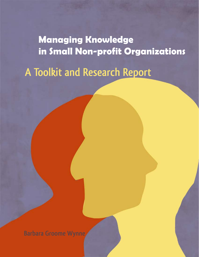**Managing Knowledge in Small Non-profit Organizations**

**A Toolkit and Research Report**

**Barbara Groome Wynne**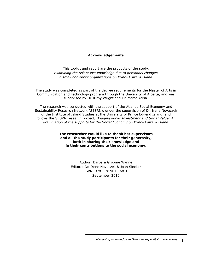#### **Acknowledgements**

This toolkit and report are the products of the study, *Examining the risk of lost knowledge due to personnel changes in small non-profit organizations on Prince Edward Island*.

The study was completed as part of the degree requirements for the Master of Arts in Communication and Technology program through the University of Alberta, and was supervised by Dr. Kirby Wright and Dr. Marco Adria.

The research was conducted with the support of the Atlantic Social Economy and Sustainability Research Network (SESRN), under the supervision of Dr. Irene Novaczek of the Institute of Island Studies at the University of Prince Edward Island, and follows the SESRN research project, *Bridging Public Investment and Social Value: An examination of the supports for the Social Economy on Prince Edward Island.*

> **The researcher would like to thank her supervisors and all the study participants for their generosity, both in sharing their knowledge and in their contributions to the social economy.**

> > Author: Barbara Groome Wynne Editors: Dr. Irene Novaczek & Joan Sinclair ISBN 978-0-919013-68-1 September 2010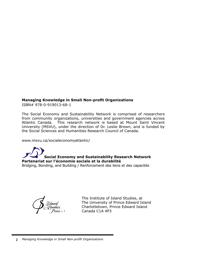# **Managing Knowledge in Small Non-profit Organizations**

ISBN# 978-0-919013-68-1 Cusack's socio-political history set in a small-scale society.

The Social Economy and Sustainability Network is comprised of researchers from community organizations, universities and government agencies across Atlantic Canada. This research network is based at Mount Saint Vincent University (MSVU), under the direction of Dr. Leslie Brown, and is funded by the Social Sciences and Humanities Research Council of Canada. "This well researched and well documented monograph on the Emyvale hospital is an exhaustive ocial Economy and Sustaniability Network is comprised of researcher

www.msvu.ca/socialeconomyatlantic/  $\,$ 

**Social Economy and Sustainability Research Network** Partenariat sur l'économie sociale et la durabilité

—*Edward MacDonald*, Department of History, University of PEI

. In completion our traditions of the Competition of the Latitudes<br>Bridging, Bonding, and Building / Renforcement des liens et des capacités sy, bonding, and ballang , Renforcement at the last containing of the beginning of the last contains  $\frac{1}{2}$ 

*\$Island Studies Press5*

The Institute of Island Studies, at The University of Prince Edward Island Charlottetown, Prince Edward Island 1 Canada C1A 4P3 INSTITUTE OF INSTITUTE OF ITEMS OF ITEMS IN THE LA

dalton Cover.inddalton Cover.inddalton Cover.inddalton Cover.inddalton PM 1:11:00 PM 1:11:00 PM 1:11:00 PM 1:1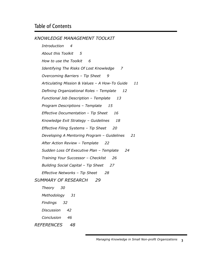*KNOWLEDGE MANAGEMENT TOOLKIT* 

*Introduction 4 About this Toolkit 5 How to use the Toolkit 6 Identifying The Risks Of Lost Knowledge 7 Overcoming Barriers – Tip Sheet 9 Articulating Mission & Values – A How-To Guide 11 Defining Organizational Roles – Template 12 Functional Job Description – Template 13 Program Descriptions – Template 15 Effective Documentation – Tip Sheet 16 Knowledge Exit Strategy – Guidelines 18 Effective Filing Systems – Tip Sheet 20 Developing A Mentoring Program – Guidelines 21 After Action Review – Template 22 Sudden Loss Of Executive Plan – Template 24 Training Your Successor – Checklist 26 Building Social Capital – Tip Sheet 27 Effective Networks – Tip Sheet 28 SUMMARY OF RESEARCH 29 Theory 30 Methodology 31 Findings 32 Discussion 42 Conclusion 46*

*REFERENCES 48*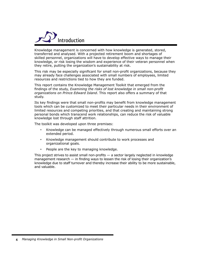

Knowledge management is concerned with how knowledge is generated, stored, transferred and analysed. With a projected retirement boom and shortages of skilled personnel, organizations will have to develop effective ways to manage their knowledge, or risk losing the wisdom and experience of their veteran personnel when they retire, putting the organization's sustainability at risk.

This risk may be especially significant for small non-profit organizations, because they may already face challenges associated with small numbers of employees, limited resources and restrictions tied to how they are funded.

This report contains the Knowledge Management Toolkit that emerged from the findings of the study, *Examining the risks of lost knowledge in small non-profit organizations on Prince Edward Island*. This report also offers a summary of that study.

Its key findings were that small non-profits may benefit from knowledge management tools which can be customized to meet their particular needs in their environment of limited resources and competing priorities, and that creating and maintaining strong personal bonds which transcend work relationships, can reduce the risk of valuable knowledge lost through staff attrition.

The toolkit was developed upon three premises:

- • Knowledge can be managed effectively through numerous small efforts over an extended period.
- • Knowledge management should contribute to work processes and organizational goals.
- • People are the key to managing knowledge.

This project strives to assist small non-profits — a sector largely neglected in knowledge management research  $-$  in finding ways to lessen the risk of losing their organization's knowledge due to staff turnover and thereby increase their ability to be more sustainable, and valuable.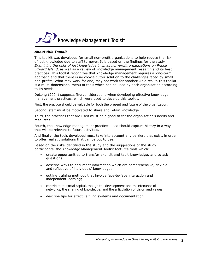

#### *About this Toolkit*

This toolkit was developed for small non-profit organizations to help reduce the risk of lost knowledge due to staff turnover. It is based on the findings for the study, *Examining the risks of lost knowledge in small non-profit organizations on Prince Edward Island*, as well as a review of knowledge management research and its best practices. This toolkit recognizes that knowledge management requires a long-term approach and that there is no cookie cutter solution to the challenges faced by small non-profits. What may work for one, may not work for another. As a result, this toolkit is a multi-dimensional menu of tools which can be used by each organization according to its needs.

DeLong (2004) suggests five considerations when developing effective knowledge management practices, which were used to develop this toolkit.

First, the practice should be valuable for both the present and future of the organization.

Second, staff must be motivated to share and retain knowledge.

Third, the practices that are used must be a good fit for the organization's needs and resources.

Fourth, the knowledge management practices used should capture history in a way that will be relevant to future activities.

And finally, the tools developed must take into account any barriers that exist, in order to offer realistic solutions that can be put to use.

Based on the risks identified in the study and the suggestions of the study participants, the Knowledge Management Toolkit features tools which:

- create opportunities to transfer explicit and tacit knowledge, and to ask questions;
- describe ways to document information which are comprehensive, flexible and reflective of individuals' knowledge;
- outline training methods that involve face-to-face interaction and independent learning;
- contribute to social capital, though the development and maintenance of networks, the sharing of knowledge, and the articulation of vision and values;
- • describe tips for effective filing systems and documentation.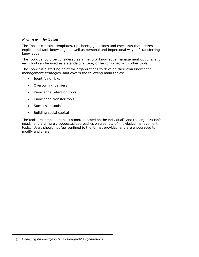### How to use the Toolkit

The Toolkit contains templates, tip sheets, guidelines and checklists that address explicit and tacit knowledge as well as personal and impersonal ways of transferring knowledge.

The Toolkit should be considered as a menu of knowledge management options, and each tool can be used as a standalone item, or be combined with other tools.

The Toolkit is a starting point for organizations to develop their own knowledge management strategies, and covers the following main topics:

- • Identifying risks
- • Overcoming barriers
- Knowledge retention tools
- • Knowledge transfer tools
- Succession tools
- • Building social capital

The tools are intended to be customized based on the individual's and the organization's needs, and are merely suggested approaches on a variety of knowledge management topics. Users should not feel confined to the format provided, and are encouraged to modify and share.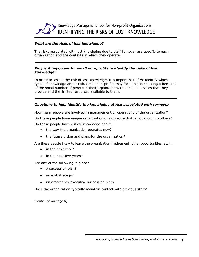

#### *What are the risks of lost knowledge?*

The risks associated with lost knowledge due to staff turnover are specific to each organization and the contexts in which they operate.

#### *Why is it important for small non-profits to identify the risks of lost knowledge?*

In order to lessen the risk of lost knowledge, it is important to first identify which types of knowledge are at risk. Small non-profits may face unique challenges because of the small number of people in their organization, the unique services that they provide and the limited resources available to them.

#### *Questions to help identify the knowledge at risk associated with turnover*

How many people are involved in management or operations of the organization? Do these people have unique organizational knowledge that is not known to others? Do these people have critical knowledge about…

- the way the organization operates now?
- the future vision and plans for the organization?

Are these people likely to leave the organization (retirement, other opportunities, etc)…

- in the next year?
- in the next five years?

Are any of the following in place?

- a succession plan?
- an exit strategy?
- an emergency executive succession plan?

Does the organization typically maintain contact with previous staff?

*(continued on page 8*)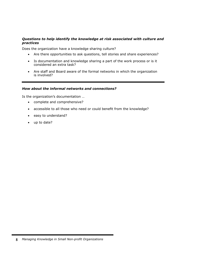### *Questions to help identify the knowledge at risk associated with culture and practices*

Does the organization have a knowledge sharing culture?

- Are there opportunities to ask questions, tell stories and share experiences?
- Is documentation and knowledge sharing a part of the work process or is it considered an extra task?
- Are staff and Board aware of the formal networks in which the organization is involved?

#### *How about the informal networks and connections?*

Is the organization's documentation …

- • complete and comprehensive?
- accessible to all those who need or could benefit from the knowledge?
- easy to understand?
- up to date?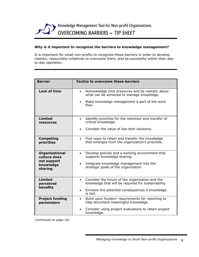

#### *Why is it important to recognize the barriers to knowledge management?*

It is important for small non-profits to recognize these barriers in order to develop realistic, resourceful initiatives to overcome them, and be successful within their dayto-day operation.

| <b>Barrier</b>                        | <b>Tactics to overcome these barriers</b>                                                                                                                                         |  |  |
|---------------------------------------|-----------------------------------------------------------------------------------------------------------------------------------------------------------------------------------|--|--|
| <b>Lack of time</b>                   | Acknowledge time pressures and be realistic about<br>$\bullet$<br>what can be achieved to manage knowledge.<br>Make knowledge management a part of the work<br>$\bullet$<br>flow. |  |  |
|                                       |                                                                                                                                                                                   |  |  |
| <b>Limited</b><br>resources           | Identify priorities for the retention and transfer of<br>$\bullet$<br>critical knowledge.                                                                                         |  |  |
|                                       | Consider the value of low-tech solutions.                                                                                                                                         |  |  |
| <b>Competing</b><br>priorities        | Find ways to retain and transfer the knowledge<br>$\bullet$<br>that emerges from the organization's priorities.                                                                   |  |  |
| <b>Organizational</b><br>culture does | Develop policies and a working environment that<br>$\bullet$<br>supports knowledge sharing.                                                                                       |  |  |
| not support<br>knowledge<br>sharing   | Integrate knowledge management into the<br>$\bullet$<br>strategic goals of the organization.                                                                                      |  |  |
| <b>Limited</b><br>perceived           | Consider the future of the organization and the<br>$\bullet$<br>knowledge that will be required for sustainability.                                                               |  |  |
| benefits                              | Envision the potential consequences if knowledge<br>$\bullet$<br>is lost.                                                                                                         |  |  |
| <b>Project funding</b><br>parameters  | Build upon funders' requirements for reporting to<br>$\bullet$<br>help document meaningful knowledge.                                                                             |  |  |
|                                       | Consider using project evaluations to retain project<br>knowledge.                                                                                                                |  |  |

*(continued on page 10)*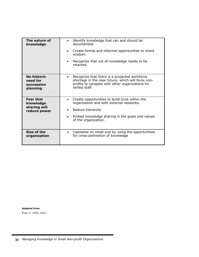| The nature of<br>knowledge    | Identify knowledge that can and should be<br>$\bullet$<br>documented.<br>Create formal and informal opportunities to share<br>wisdom.<br>Recognize that not all knowledge needs to be<br>retained. |
|-------------------------------|----------------------------------------------------------------------------------------------------------------------------------------------------------------------------------------------------|
| No historic                   | Recognize that there is a projected workforce                                                                                                                                                      |
| need for<br>succession        | shortage in the near future, which will force non-<br>profits to compete with other organizations for                                                                                              |
| planning                      | skilled staff.                                                                                                                                                                                     |
|                               |                                                                                                                                                                                                    |
| <b>Fear that</b><br>knowledge | Create opportunities to build trust within the<br>organization and with external networks.                                                                                                         |
| sharing will<br>reduce power  | Reduce hierarchy.<br>$\bullet$                                                                                                                                                                     |
|                               | Embed knowledge sharing in the goals and values<br>of the organization.                                                                                                                            |
|                               |                                                                                                                                                                                                    |
| Size of the<br>organization   | Capitalize on small size by using the opportunities<br>for cross-pollination of knowledge                                                                                                          |

*Adapted from:* Riege, A. (2005; 2007).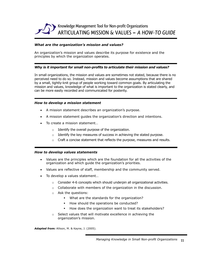

#### *What are the organization's mission and values?*

An organization's mission and values describe its purpose for existence and the principles by which the organization operates.

#### *Why is it important for small non-profits to articulate their mission and values?*

In small organizations, the mission and values are sometimes not stated, because there is no perceived need to do so. Instead, mission and values become assumptions that are shared by a small, tightly-knit group of people working toward common goals. By articulating the mission and values, knowledge of what is important to the organization is stated clearly, and can be more easily recorded and communicated for posterity.

#### *How to develop a mission statement*

- • A mission statement describes an organization's purpose.
- • A mission statement guides the organization's direction and intentions.
- To create a mission statement...
	- $\circ$  Identify the overall purpose of the organization.
	- $\circ$  Identify the key measures of success in achieving the stated purpose.
	- $\circ$  Craft a concise statement that reflects the purpose, measures and results.

#### *How to develop values statements*

- • Values are the principles which are the foundation for all the activities of the organization and which guide the organization's priorities.
- Values are reflective of staff, membership and the community served.
- To develop a values statement...
	- $\circ$  Consider 4-6 concepts which should underpin all organizational activities.
	- o Collaborate with members of the organization in the discussion.
	- o Ask the questions:
		- What are the standards for the organization?
		- How should the operations be conducted?
		- How does the organization want to treat its stakeholders?
	- o Select values that will motivate excellence in achieving the organization's mission.

*Adapted from:* Allison, M. & Kayne, J. (2005).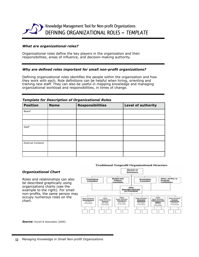

#### *What are organizational roles?*

Organizational roles define the key players in the organization and their responsibilities, areas of influence, and decision-making authority.

#### *Why are defined roles important for small non-profit organizations?*

Defining organizational roles identifies the people within the organization and how they work with each. Role definitions can be helpful when hiring, orienting and training new staff. They can also be useful in mapping knowledge and managing organizational workload and responsibilities, in times of change.

#### *Template for Description of Organizational Roles*

| <b>Position</b>          | <b>Name</b> | <b>Responsibilities</b> | <b>Level of authority</b> |
|--------------------------|-------------|-------------------------|---------------------------|
| <b>Board</b>             |             |                         |                           |
|                          |             |                         |                           |
|                          |             |                         |                           |
| Staff                    |             |                         |                           |
|                          |             |                         |                           |
|                          |             |                         |                           |
| <b>External Contacts</b> |             |                         |                           |
|                          |             |                         |                           |
|                          |             |                         |                           |

#### **Traditional Nonprofit Organizational Structure**



be described graphically using

*Organizational Chart*

organizations charts (see the example to the right). For small non-profits, the same person may occupy numerous roles on the chart.

Roles and relationships can also

Source: Hurwit & Associates (2009).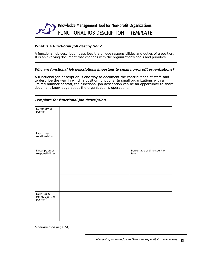

#### *What is a functional job description?*

A functional job description describes the unique responsibilities and duties of a position. It is an evolving document that changes with the organization's goals and priorities.

#### *Why are functional job descriptions important to small non-profit organizations?*

A functional job description is one way to document the contributions of staff, and to describe the way in which a position functions. In small organizations with a limited number of staff, the functional job description can be an opportunity to share document knowledge about the organization's operations.

| Summary of<br>position                     |                                      |
|--------------------------------------------|--------------------------------------|
|                                            |                                      |
|                                            |                                      |
| Reporting<br>relationships                 |                                      |
|                                            |                                      |
| Description of<br>responsibilities         | Percentage of time spent on<br>task: |
|                                            |                                      |
|                                            |                                      |
|                                            |                                      |
|                                            |                                      |
| Daily tasks<br>(unique to the<br>position) |                                      |
|                                            |                                      |
|                                            |                                      |

#### *Template for functional job description*

*(continued on page 14)*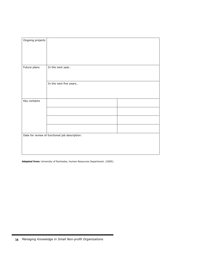| Ongoing projects |                                                |  |
|------------------|------------------------------------------------|--|
|                  |                                                |  |
|                  |                                                |  |
|                  |                                                |  |
|                  |                                                |  |
|                  |                                                |  |
|                  |                                                |  |
|                  |                                                |  |
|                  |                                                |  |
| Future plans     | In the next year                               |  |
|                  |                                                |  |
|                  |                                                |  |
|                  |                                                |  |
|                  |                                                |  |
|                  | In the next five years                         |  |
|                  |                                                |  |
|                  |                                                |  |
|                  |                                                |  |
|                  |                                                |  |
|                  |                                                |  |
| Key contacts     |                                                |  |
|                  |                                                |  |
|                  |                                                |  |
|                  |                                                |  |
|                  |                                                |  |
|                  |                                                |  |
|                  |                                                |  |
|                  |                                                |  |
|                  |                                                |  |
|                  |                                                |  |
|                  |                                                |  |
|                  | Date for review of functional job description: |  |
|                  |                                                |  |
|                  |                                                |  |
|                  |                                                |  |
|                  |                                                |  |
|                  |                                                |  |
|                  |                                                |  |

*Adapted from:* University of Rochester, Human Resources Department. (2005).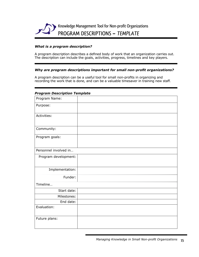

#### *What is a program description?*

A program description describes a defined body of work that an organization carries out. The description can include the goals, activities, progress, timelines and key players.

#### *Why are program descriptions important for small non-profit organizations?*

A program description can be a useful tool for small non-profits in organizing and recording the work that is done, and can be a valuable timesaver in training new staff.

#### *Program Description Template*

| Program Name:         |  |
|-----------------------|--|
| Purpose:              |  |
|                       |  |
| Activities:           |  |
|                       |  |
| Community:            |  |
|                       |  |
| Program goals:        |  |
|                       |  |
| Personnel involved in |  |
| Program development:  |  |
|                       |  |
|                       |  |
| Implementation:       |  |
| Funder:               |  |
| Timeline              |  |
| Start date:           |  |
| Milestones:           |  |
| End date:             |  |
| Evaluation:           |  |
|                       |  |
| Future plans:         |  |
|                       |  |
|                       |  |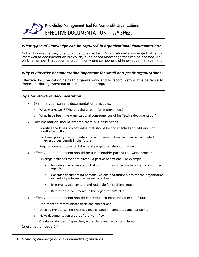

#### *What types of knowledge can be captured in organizational documentation?*

Not all knowledge can, or should, be documented. Organizational knowledge that lends itself well to documentation is explicit, rules-based knowledge that can be codified. As well, remember that documentation is only one component of knowledge management.

#### *Why is effective documentation important for small non-profit organizations?*

Effective documentation helps to organize work and to record history. It is particularly important during transition of personnel and programs.

#### *Tips for effective documentation*

- Examine your current documentation practices.
	- o What works well? Where is there room for improvement?
	- o What have been the organizational consequences of ineffective documentation?
- Documentation should emerge from business needs.
	- $\circ$  Prioritize the types of knowledge that should be documented and address high priority items first.
	- o For lower priority items, create a list of documentation that can be completed if time/resources permit in the future.
	- o Regularly review documentation and purge obsolete information.
- Effective documentation should be a reasonable part of the work process.
	- o Leverage activities that are already a part of operations. For example…
		- Include a narrative account along with the subjective information in funder reports.
		- Consider documenting personal visions and future plans for the organization as part of performance review activities.
		- In e-mails, add context and rationale for decisions made.
		- Retain these documents in the organization's files.
- Effective documentation should contribute to efficiencies in the future.
	- o Document to communicate decisions and actions.
	- $\circ$  Develop minute-taking practices that expand on annotated agenda items.
	- o Make documentation a part of the work flow.
	- o Create catalogues of speeches, work plans and report templates.

*Continued on page 17*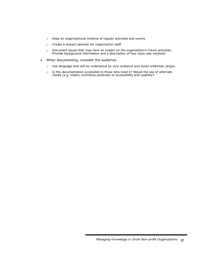- o Keep an organizational timeline of regular activities and events.
- o Create a shared calendar for organization staff.
- o Document issues that may have an impact on the organization's future activities. Provide background information and a description of how issue was resolved.
- When documenting, consider the audience.
	- o Use language that will be understood by your audience and avoid unfamiliar jargon.
	- $\circ$  Is the documentation accessible to those who need it? Would the use of alternate media (e.g. Video) contribute positively to accessibility and usability?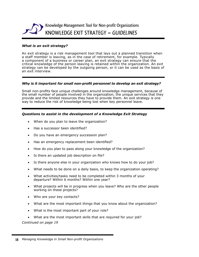

#### *What is an exit strategy?*

An exit strategy is a risk management tool that lays out a planned transition when a staff member is leaving, as in the case of retirement, for example. Typically a component of a business or career plan, an exit strategy can ensure that the critical knowledge of the person leaving is retained within the organization. An exit strategy can be developed by the outgoing person, or it can be used as the basis of an exit interview.

#### *Why is it important for small non-profit personnel to develop an exit strategy?*

Small non-profits face unique challenges around knowledge management, because of the small number of people involved in the organization, the unique services that they provide and the limited resources they have to provide them. An exit strategy is one way to reduce the risk of knowledge being lost when key personnel leave.

#### *Questions to assist in the development of a Knowledge Exit Strategy*

- When do you plan to leave the organization?
- Has a successor been identified?
- Do you have an emergency succession plan?
- Has an emergency replacement been identified?
- How do you plan to pass along your knowledge of the organization?
- Is there an updated job description on file?
- Is there anyone else in your organization who knows how to do your job?
- What needs to be done on a daily basis, to keep the organization operating?
- • What activities/tasks need to be completed within 3 months of your departure? Within 6 months? Within one year?
- What projects will be in progress when you leave? Who are the other people working on these projects?
- Who are your key contacts?
- What are the most important things that you know about the organization?
- What is the most important part of your role?
- What are the most important skills that are required for your job? *Continued on page 19*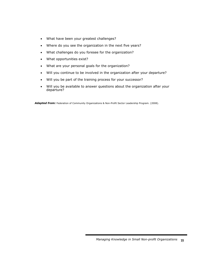- What have been your greatest challenges?
- Where do you see the organization in the next five years?
- What challenges do you foresee for the organization?
- • What opportunities exist?
- What are your personal goals for the organization?
- • Will you continue to be involved in the organization after your departure?
- Will you be part of the training process for your successor?
- Will you be available to answer questions about the organization after your departure?

*Adapted from:* Federation of Community Organizations & Non-Profit Sector Leadership Program. (2008).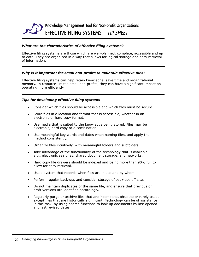

#### *What are the characteristics of effective filing systems?*

Effective filing systems are those which are well-planned, complete, accessible and up to date. They are organized in a way that allows for logical storage and easy retrieval of information.

#### *Why is it important for small non-profits to maintain effective files?*

Effective filing systems can help retain knowledge, save time and organizational memory. In resource-limited small non-profits, they can have a significant impact on operating more efficiently.

#### *Tips for developing effective filing systems*

- Consider which files should be accessible and which files must be secure.
- Store files in a location and format that is accessible, whether in an electronic or hard copy format.
- Use media that is suited to the knowledge being stored. Files may be electronic, hard copy or a combination.
- Use meaningful key words and dates when naming files, and apply the method consistently.
- • Organize files intuitively, with meaningful folders and subfolders.
- Take advantage of the functionality of the technology that is available  $$ e.g., electronic searches, shared document storage, and networks.
- Hard copy file drawers should be indexed and be no more than 90% full to allow for easy retrieval.
- Use a system that records when files are in use and by whom.
- Perform regular back-ups and consider storage of back-ups off site.
- Do not maintain duplicates of the same file, and ensure that previous or draft versions are identified accordingly.
- Regularly purge or archive files that are incomplete, obsolete or rarely used, except files that are historically significant. Technology can be of assistance in this task, by using search functions to look up documents by last opened and last revised dates.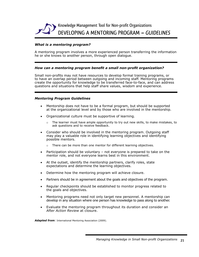

#### *What is a mentoring program?*

A mentoring program involves a more experienced person transferring the information he or she knows to another person, through open dialogue.

#### *How can a mentoring program benefit a small non-profit organization?*

Small non-profits may not have resources to develop formal training programs, or to have an overlap period between outgoing and incoming staff. Mentoring programs create the opportunity for knowledge to be transferred face-to-face, and can address questions and situations that help staff share values, wisdom and experience.

#### *Mentoring Program Guidelines*

- Mentorship does not have to be a formal program, but should be supported at the organizational level and by those who are involved in the mentorship.
- Organizational culture must be supportive of learning.
	- $\circ$  The learner must have ample opportunity to try out new skills, to make mistakes, to ask questions and to receive feedback.
- Consider who should be involved in the mentoring program. Outgoing staff may play a valuable role in identifying learning objectives and identifying possible mentors.
	- $\circ$  There can be more than one mentor for different learning objectives.
- Participation should be voluntary not everyone is prepared to take on the mentor role, and not everyone learns best in this environment.
- At the outset, identify the mentorship partners, clarify roles, state expectations and determine the learning objectives.
- Determine how the mentoring program will achieve closure.
- Partners should be in agreement about the goals and objectives of the program.
- Regular checkpoints should be established to monitor progress related to the goals and objectives.
- Mentoring programs need not only target new personnel. A mentorship can develop in any situation where one person has knowledge to pass along to another.
- • Evaluate the mentoring program throughout its duration and consider an *After Action Review* at closure.

Adapted from: International Mentoring Association (2009).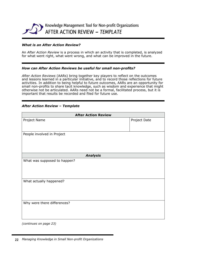

#### *What is an After Action Review?*

An *After Action Review* is a process in which an activity that is completed, is analyzed for what went right, what went wrong, and what can be improved in the future.

#### *How can After Action Reviews be useful for small non-profits?*

*After Action Reviews* (AARs) bring together key players to reflect on the outcomes and lessons learned in a particular initiative, and to record those reflections for future activities. In addition to being helpful to future outcomes, AARs are an opportunity for small non-profits to share tacit knowledge, such as wisdom and experience that might otherwise not be articulated. AARs need not be a formal, facilitated process, but it is important that results be recorded and filed for future use.

#### *After Action Review – Template*

| <b>After Action Review</b>   |              |  |
|------------------------------|--------------|--|
| Project Name                 | Project Date |  |
|                              |              |  |
| People involved in Project   |              |  |
|                              |              |  |
|                              |              |  |
| <b>Analysis</b>              |              |  |
| What was supposed to happen? |              |  |
|                              |              |  |
|                              |              |  |
| What actually happened?      |              |  |
|                              |              |  |
|                              |              |  |
| Why were there differences?  |              |  |
|                              |              |  |
|                              |              |  |
| (continues on page 23)       |              |  |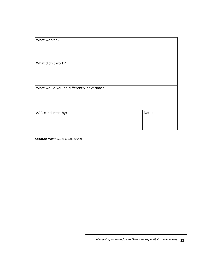| What worked?                             |       |
|------------------------------------------|-------|
| What didn't work?                        |       |
| What would you do differently next time? |       |
| AAR conducted by:                        | Date: |

*Adapted from: De Long, D.W. (2004).*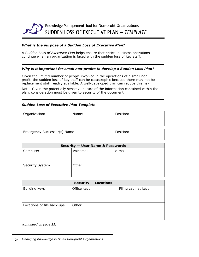

#### *What is the purpose of a Sudden Loss of Executive Plan?*

A *Sudden Loss of Executive Plan* helps ensure that critical business operations continue when an organization is faced with the sudden loss of key staff.

#### *Why is it important for small non-profits to develop a Sudden Loss Plan?*

Given the limited number of people involved in the operations of a small nonprofit, the sudden loss of key staff can be catastrophic because there may not be replacement staff readily available. A well-developed plan can reduce this risk.

Note: Given the potentially sensitive nature of the information contained within the plan, consideration must be given to security of the document.

#### *Sudden Loss of Executive Plan Template*

| Organization: | Name: | Position: |
|---------------|-------|-----------|
|               |       |           |
|               |       |           |

| Emergency Successor(s) Name: | Position: |
|------------------------------|-----------|
|                              |           |

| <b>Security - User Name &amp; Passwords</b> |           |        |
|---------------------------------------------|-----------|--------|
| Computer                                    | Voicemail | e-mail |
| <b>Security System</b>                      | Other     |        |

| <b>Security - Locations</b> |             |                     |
|-----------------------------|-------------|---------------------|
| <b>Building keys</b>        | Office keys | Filing cabinet keys |
| Locations of file back-ups  | Other       |                     |

*(continued on page 25)*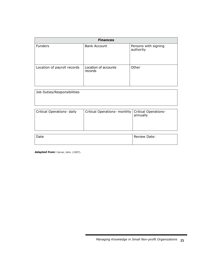| <b>Finances</b>             |                                 |                                   |  |
|-----------------------------|---------------------------------|-----------------------------------|--|
| <b>Funders</b>              | <b>Bank Account</b>             | Persons with signing<br>authority |  |
| Location of payroll records | Location of accounts<br>records | Other                             |  |

| Job Duties/Responsibilities |                                                     |          |  |  |
|-----------------------------|-----------------------------------------------------|----------|--|--|
|                             |                                                     |          |  |  |
| Critical Operations- daily  | Critical Operations- monthly   Critical Operations- | annually |  |  |

| Date | Review Date: |
|------|--------------|
|      |              |

Adapted from: Carver, John. (1997).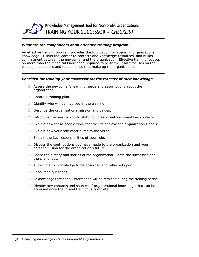

#### *What are the components of an effective training program?*

An effective training program provides the foundation for acquiring organizational knowledge. It links the learner to contacts and knowledge resources, and builds commitment between the newcomer and the organization. Effective training focuses on more than the technical knowledge required to perform. It also focuses on the values, experiences and relationships that make up the organization.

#### *Checklist for training your successor for the transfer of tacit knowledge*

- $\Box$  Assess the newcomer's learning needs and assumptions about the organization.
- $\Box$  Create a training plan.
- $\Box$  Identify who will be involved in the training.
- $\square$  Describe the organization's mission and values.
- $\Box$  Introduce the new person to staff, volunteers, networks and key contacts.
- $\Box$  Explain how these people work together to achieve the organization's goals.
- $\Box$  Explain how your role contributes to the vision.
- $\Box$  Explain the key responsibilities of your role.
- $\Box$  Discuss the contributions you have made to the organization and your personal vision for the organization's future.
- $\Box$  Share the history and stories of the organization both the successes and the challenges.
- $\Box$  Allow time for knowledge to be absorbed and reflected upon.
- □ Encourage questions.
- $\Box$  Acknowledge that not all information will be retained during the training period.
- $\Box$  Identify key contacts and sources of organizational knowledge that can be accessed once the formal training is complete.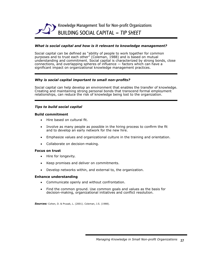

#### *What is social capital and how is it relevant to knowledge management?*

Social capital can be defined as "ability of people to work together for common purposes and to trust each other" (Coleman, 1988) and is based on mutual understanding and commitment. Social capital is characterized by strong bonds, close connections, and overlapping spheres of influence — factors which can have a significant impact on organizational knowledge management practices.

#### *Why is social capital important to small non-profits?*

Social capital can help develop an environment that enables the transfer of knowledge. Creating and maintaining strong personal bonds that transcend formal employment relationships, can reduce the risk of knowledge being lost to the organization.

#### *Tips to build social capital*

#### **Build commitment**

- Hire based on cultural fit.
- Involve as many people as possible in the hiring process to confirm the fit and to develop an early network for the new hire.
- • Emphasize values and organizational culture in the training and orientation.
- Collaborate on decision-making.

#### **Focus on trust**

- Hire for longevity.
- • Keep promises and deliver on commitments.
- • Develop networks within, and external to, the organization.

#### **Enhance understanding**

- • Communicate openly and without confrontation.
- Find the common ground. Use common goals and values as the basis for decision-making, organizational initiatives and conflict resolution.

*Sources:* Cohen, D. & Prusak, L. (2001). Coleman, J.S. (1988).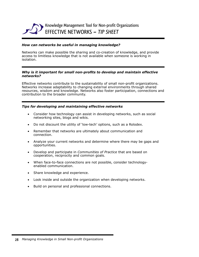

#### *How can networks be useful in managing knowledge?*

Networks can make possible the sharing and co-creation of knowledge, and provide access to limitless knowledge that is not available when someone is working in isolation.

#### *Why is it important for small non-profits to develop and maintain effective networks?*

Effective networks contribute to the sustainability of small non-profit organizations. Networks increase adaptability to changing external environments through shared resources, wisdom and knowledge. Networks also foster participation, connections and contribution to the broader community.

#### *Tips for developing and maintaining effective networks*

- Consider how technology can assist in developing networks, such as social networking sites, blogs and wikis.
- Do not discount the utility of 'low-tech' options, such as a Rolodex.
- Remember that networks are ultimately about communication and connection.
- Analyze your current networks and determine where there may be gaps and opportunities.
- • Develop and participate in *Communities of Practice* that are based on cooperation, reciprocity and common goals.
- When face-to-face connections are not possible, consider technologyenabled communication.
- Share knowledge and experience.
- Look inside and outside the organization when developing networks.
- Build on personal and professional connections.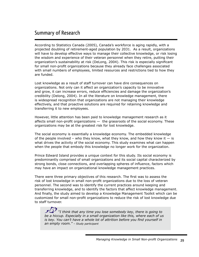# Summary of Research

According to Statistics Canada (2005), Canada's workforce is aging rapidly, with a projected doubling of retirement-aged population by 2031. As a result, organizations will have to develop effective ways to manage their collective knowledge, or risk losing the wisdom and experience of their veteran personnel when they retire, putting their organization's sustainability at risk (DeLong, 2004). This risk is especially significant for small non-profit organizations because they already face challenges associated with small numbers of employees, limited resources and restrictions tied to how they are funded.

Lost knowledge as a result of staff turnover can have dire consequences on organizations. Not only can it affect an organization's capacity to be innovative and grow, it can increase errors, reduce efficiencies and damage the organization's credibility (Delong, 2004). In all the literature on knowledge management, there is widespread recognition that organizations are not managing their knowledge effectively, and that proactive solutions are required for retaining knowledge and transferring it to new employees.

However, little attention has been paid to knowledge management research as it affects small non-profit organizations  $-$  the grassroots of the social economy. These organizations may be at the greatest risk for lost knowledge.

The social economy is essentially a knowledge economy. The embedded knowledge of the people involved – who they know, what they know, and how they know it  $-$  is what drives the activity of the social economy. This study examines what can happen when the people that embody this knowledge no longer work for the organization.

Prince Edward Island provides a unique context for this study. Its social economy is predominantly comprised of small organizations and its social capital characterized by strong bonds, close connections, and overlapping spheres of influence, factors which may have an impact on organizational knowledge management practices.

There were three primary objectives of this research. The first was to assess the risk of lost knowledge in small non-profit organizations due to the loss of veteran personnel. The second was to identify the current practices around keeping and transferring knowledge, and to identify the factors that affect knowledge management. And finally, the study aimed to develop a Knowledge Management Toolkit which can be customized for small non-profit organizations to reduce the risk of lost knowledge due to staff turnover.

 $\mathcal{D}$  "I think that any time you lose somebody key, there is going to *be a hiccup. Especially in a small organization like this, where each of us is key. You can't have a whole lot of attrition before you find yourself in an empty room." – Study participant*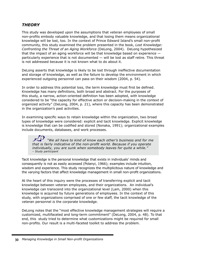# *THEORY*

This study was developed upon the assumptions that veteran employees of small non-profits embody valuable knowledge, and that losing them means organizational knowledge will be lost, too. In the context of Prince Edward Island's small non-profit community, this study examined the problem presented in the book, *Lost Knowledge: Confronting the Threat of an Aging Workforce* (DeLong, 2004). DeLong hypothesized that the impact of an aging workforce will be that knowledge based on experience particularly experience that is not documented — will be lost as staff retire. This threat is not addressed because it is not known what to do about it.

DeLong asserts that knowledge is likely to be lost through ineffective documentation and storage of knowledge, as well as the failure to develop the environment in which experienced outgoing personnel can pass on their wisdom (2004, p. 54).

In order to address this potential loss, the term *knowledge* must first be defined. Knowledge has many definitions, both broad and abstract. For the purposes of this study, a narrow, action-oriented definition has been adopted, with knowledge considered to be "the capacity for effective action or decision-making in the context of organized activity" (DeLong, 2004, p. 21), where this capacity has been demonstrated in the organization's past activities.

In examining specific ways to retain knowledge within the organization, two broad types of knowledge were considered: explicit and tacit knowledge. Explicit knowledge is knowledge that can be codified and stored (Nonaka, 1991); organizational examples include documents, databases, and work processes.

 *"We all have to kind of know each other's business and for me that is fairly indicative of the non-profit world. Because if you operate individually, you are sunk when somebody leaves for quite a while." – Study participant*

Tacit knowledge is the personal knowledge that exists in individuals' minds and consequently is not as easily accessed (Polanyi, 1966); examples include intuition, wisdom and experience. This study recognizes the multiplicitous nature of knowledge and the varying factors that affect knowledge management in small non-profit organizations.

At the heart of this inquiry were the processes of transferring explicit and tacit knowledge between veteran employees, and their organizations. An individual's knowledge can transcend into the organizational level (Lam, 2000) when this knowledge is acquired by future generations of employees. In the context of this study, with organizations comprised of one or few staff, the tacit knowledge of the veteran personnel *is* the corporate knowledge.

DeLong notes that the "most effective knowledge management strategies will require a customized, multifaceted and long-term commitment" (DeLong, 2004, p. 48). To that end, this study tried to determine what customizations might be required for small non-profits. Our result is a multi-faceted toolkit to address the problem.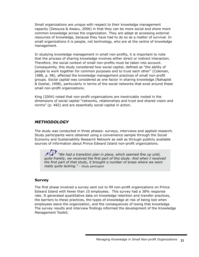Small organizations are unique with respect to their knowledge management capacity (Desouza & Awazu, 2006) in that they can be more social and share more common knowledge across the organization. They are adept at accessing external resources of knowledge, because they have had to do so as a matter of survival. In small organizations it is people, not technology, who are at the centre of knowledge management.

In studying knowledge management in small non-profits, it is important to note that the process of sharing knowledge involves either direct or indirect interaction. Therefore, the social context of small non-profits must be taken into account. Consequently, this study considered how social capital, defined as "the ability of people to work together for common purposes and to trust each other" (Coleman, 1988, p. 98), affected the knowledge management practices of small non-profit groups. Social capital was considered as one factor in sharing knowledge (Nahapiet & Goshal, 1998), particularly in terms of the social networks that exist around these small non-profit organizations.

King (2004) noted that non-profit organizations are inextricably rooted in the dimensions of social capital "networks, relationships and trust and shared vision and norms" (p. 482) and are essentially social capital in action.

# *METHODOLOGY*

The study was conducted in three phases: surveys, interviews and applied research. Study participants were obtained using a convenience sample through the Social Economy and Sustainability Research Network as well as through publicly available sources of information about Prince Edward Island non-profit organizations.

 *"We had a transition plan in place, which seemed fine up until, quite frankly, we received the first part of this study. And when I received the first part of that study, it brought a number of areas where we were really quite lacking." – Study participant*

# **Survey**

The first phase involved a survey sent out to 99 non-profit organizations on Prince Edward Island with fewer than 10 employees. This survey had a 38% response rate. It generated quantitative data on knowledge retention and transfer practices, the barriers to these practices, the types of knowledge at risk of being lost when employees leave the organization, and the consequences of losing that knowledge. The survey results and interview findings informed the development of the Knowledge Management Toolkit.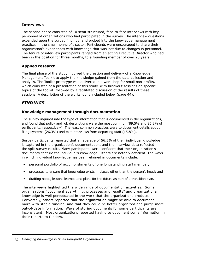# **Interviews**

The second phase consisted of 10 semi-structured, face-to-face interviews with key personnel of organizations who had participated in the survey. The interview questions expanded upon the survey findings, and probed into the knowledge management practices in the small non-profit sector. Participants were encouraged to share their organization's experiences with knowledge that was lost due to changes in personnel. The tenure of interview participants ranged from an acting Executive Director who had been in the position for three months, to a founding member of over 25 years.

# **Applied research**

The final phase of the study involved the creation and delivery of a Knowledge Management Toolkit to apply the knowledge gained from the data collection and analysis. The Toolkit prototype was delivered in a workshop for small non-profits, which consisted of a presentation of this study, with breakout sessions on specific topics of the toolkit, followed by a facilitated discussion of the results of these sessions. A description of the workshop is included below (page 44).

# *FINDINGS*

# **Knowledge management through documentation**

The survey inquired into the type of information that is documented in the organizations, and found that policy and job descriptions were the most common (89.5% and 86.8% of participants, respectively). The least common practices were to document details about filing systems (26.3%) and exit interviews from departing staff (15.8%).

Survey participants reported that an average of 56.5% of their individual knowledge is captured in the organization's documentation, and the interview data reflected the split survey results. Many participants were confident that their organization's documents capture the individual's knowledge. Others are notably deficient. The ways in which individual knowledge has been retained in documents include:

- personal portfolio of accomplishments of one longstanding staff member;
- processes to ensure that knowledge exists in places other than the person's head; and
- drafting notes, lessons learned and plans for the future as part of a transition plan.

The interviews highlighted the wide range of documentation activities. Some organizations "document everything, processes and results" and organizational knowledge is well perpetuated in the work that the organizations produce. Conversely, others reported that the organization might be able to document more with stable funding, and that they could be better organized and purge more out-of-date information. Ways of storing documents for some participants are inconsistent. Most organizations reported having to document some information in their reports to funders.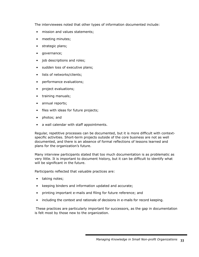The interviewees noted that other types of information documented include:

- mission and values statements;
- meeting minutes;
- strategic plans;
- governance;
- job descriptions and roles;
- sudden loss of executive plans;
- lists of networks/clients;
- performance evaluations;
- project evaluations;
- training manuals;
- annual reports;
- files with ideas for future projects;
- photos; and
- a wall calendar with staff appointments.

Regular, repetitive processes can be documented, but it is more difficult with contextspecific activities. Short-term projects outside of the core business are not as well documented, and there is an absence of formal reflections of lessons learned and plans for the organization's future.

Many interview participants stated that too much documentation is as problematic as very little. It is important to document history, but it can be difficult to identify what will be significant in the future.

Participants reflected that valuable practices are:

- taking notes;
- keeping binders and information updated and accurate;
- printing important e-mails and filing for future reference; and
- including the context and rationale of decisions in e-mails for record keeping.

 These practices are particularly important for successors, as the gap in documentation is felt most by those new to the organization.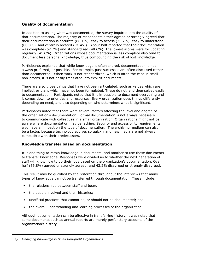# **Quality of documentation**

In addition to asking what was documented, the survey inquired into the quality of that documentation. The majority of respondents either agreed or strongly agreed that their documentation is accurate (86.1%), easy to access (75.7%), easy to understand (80.0%), and centrally located (91.4%). About half reported that their documentation was complete (52.7%) and standardized (48.6%). The lowest scores were for updating regularly (41.6%). Organizations whose documentation is less complete also tend to document less personal knowledge, thus compounding the risk of lost knowledge.

Participants explained that while knowledge is often shared, documentation is not always preferred, or possible. For example, past successes are often discussed rather than documented. When work is not standardized, which is often the case in small non-profits, it is not easily translated into explicit documents.

There are also those things that have not been articulated, such as values which are implied, or plans which have not been formulated. These do not lend themselves easily to documentation. Participants noted that it is impossible to document everything and it comes down to priorities and resources. Every organization does things differently depending on need, and also depending on who determines what is significant.

Participants noted that there were several factors affecting the level and degree of the organization's documentation. Formal documentation is not always necessary to communicate with colleagues in a small organization. Organizations might not be aware where documentation may be lacking. Security and accessibility requirements also have an impact on the type of documentation. The archiving medium can also be a factor, because technology evolves so quickly and new media are not always compatible with their predecessors.

#### **Knowledge transfer based on documentation**

It is one thing to retain knowledge in documents, and another to use these documents to transfer knowledge. Responses were divided as to whether the next generation of staff will know how to do their jobs based on the organization's documentation. Over half (56.8%) agreed or strongly agreed, and 43.2% disagreed or strongly disagreed.

This result may be qualified by the reiteration throughout the interviews that many types of knowledge cannot be transferred through documentation. These include:

- the relationships between staff and board;
- the people involved and their histories;
- unofficial practices that cannot be, or should not be documented; and
- the overall understanding and learning processes of the organization.

Although documentation can be effective in transferring history, it was noted that some documents such as annual reports are merely perfunctory accounts of the organization's history.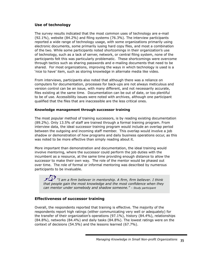# **Use of technology**

The survey results indicated that the most common uses of technology are e-mail (92.1%), website (84.2%) and filing systems (76.3%). The interview participants reported a wide range of technology usage, with some organizations primarily using electronic documents, some primarily iusing hard copy files, and most a combination of the two. While some participants noted shortcomings in their organization's use of technology, such as a lack of server, network, or central filing system, none of the participants felt this was particularly problematic. These shortcomings were overcome through tactics such as sharing passwords and e-mailing documents that need to be shared. For most organizations, improving the ways in which technology is used is a 'nice to have' item, such as storing knowledge in alternate media like video.

From interviews, participants also noted that although there was a reliance on computers for documentation, processes for back-ups are not always meticulous and version control can be an issue, with many different, and not necessarily accurate, files existing at the same time. Documentation can be out of date, or too plentiful to be of use. Accessibility issues were noted with archives, although one participant qualified that the files that are inaccessible are the less critical ones.

#### **Knowledge management through successor training**

The most popular method of training successors, is by reading existing documentation (89.2%). Only 13.5% of staff are trained through a formal training program. From interview data, the ideal successor training program would include an overlap period between the outgoing and incoming staff member. This overlap would involve a job shadow or demonstration of how programs and daily business operations occur, as this was noted to be more effective than simply reading about it.

More important than demonstration and documentation, the ideal training would involve mentoring, where the successor could perform the job duties with the incumbent as a resource, at the same time providing enough distance to allow the successor to make their own way. The role of the mentor would be phased out over time. The role of formal or informal mentoring was described by numerous participants to be invaluable.

 *"I am a firm believer in mentorship. A firm, firm believer. I think that people gain the most knowledge and the most confidence when they can mentor under somebody and shadow someone." – Study participant*

# **Effectiveness of successor training**

Overall, the respondents reported that training is effective. The majority of the respondents report high ratings (either communicating very well or adequately) for the transfer of their organization's operations (97.1%), history (84.4%), relationships (84.8%), networks (84.4%) and daily tasks (84.8%). The lowest ratings were on the context of decisions (54.5%) and the lessons learned (67.7%).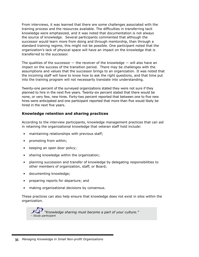From interviews, it was learned that there are some challenges associated with the training process and the resources available. The difficulties in transferring tacit knowledge were emphasized, and it was noted that documentation is not always the source of knowledge. Several participants commented that although the successor would learn more from doing and through mentorship, than through a standard training regime, this might not be possible. One participant noted that the organization's lack of physical space will have an impact on the knowledge that is transferred to the successor.

The qualities of the successor  $-$  the receiver of the knowledge  $-$  will also have an impact on the success of the transition period. There may be challenges with the assumptions and values that the successor brings to an organization. It was noted that the incoming staff will have to know how to ask the right questions, and that time put into the training program will not necessarily translate into understanding.

Twenty-one percent of the surveyed organizations stated they were not sure if they planned to hire in the next five years. Twenty-six percent stated that there would be none, or very few, new hires. Forty-two percent reported that between one to five new hires were anticipated and one participant reported that more than five would likely be hired in the next five years.

### **Knowledge retention and sharing practices**

According to the interview participants, knowledge management practices that can aid in retaining the organizational knowledge that veteran staff hold include:

- maintaining relationships with previous staff;
- promoting from within;
- keeping an open door policy;
- sharing knowledge within the organization;
- planning succession and transfer of knowledge by delegating responsibilities to other members of organization, staff, or Board;
- documenting knowledge;
- preparing reports for departure; and
- making organizational decisions by consensus.

These practices can also help ensure that knowledge does not exist in silos within the organization.

 *"Knowledge sharing must become a part of your culture." – Study participant*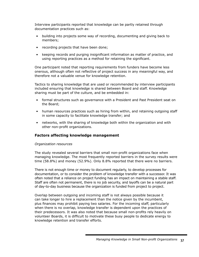Interview participants reported that knowledge can be partly retained through documentation practices such as:

- building into projects some way of recording, documenting and giving back to members;
- recording projects that have been done;
- keeping records and purging insignificant information as matter of practice, and using reporting practices as a method for retaining the significant.

One participant noted that reporting requirements from funders have become less onerous, although often not reflective of project success in any meaningful way, and therefore not a valuable venue for knowledge retention.

Tactics to sharing knowledge that are used or recommended by interview participants included ensuring that knowledge is shared between Board and staff. Knowledge sharing must be part of the culture, and be embedded in:

- formal structures such as governance with a President and Past President seat on the Board;
- human resources practices such as hiring from within, and retaining outgoing staff in some capacity to facilitate knowledge transfer; and
- networks, with the sharing of knowledge both within the organization and with other non-profit organizations.

#### **Factors affecting knowledge management**

#### *Organization resources*

The study revealed several barriers that small non-profit organizations face when managing knowledge. The most frequently reported barriers in the survey results were time (58.8%) and money (52.9%). Only 8.8% reported that there were no barriers.

There is not enough time or money to document regularly, to develop processes for documentation, or to consider the problem of knowledge transfer with a successor. It was often noted that a reliance on project funding has an impact on maintaining a stable staff. Staff are often not permanent, there is no job security, and layoffs can be a natural part of day-to-day business because the organization is funded from project to project.

Overlap between outgoing and incoming staff is not always possible because it can take longer to hire a replacement than the notice given by the incumbent, plus finances may prohibit paying two salaries. For the incoming staff, particularly when there is no overlap, knowledge transfer is dependent upon the practices of their predecessors. It was also noted that because small non-profits rely heavily on volunteer Boards, it is difficult to motivate these busy people to dedicate energy to knowledge retention and transfer efforts.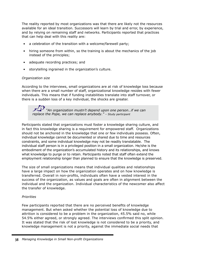The reality reported by most organizations was that there are likely not the resources available for an ideal transition. Successors will learn by trial and error, by experience, and by relying on remaining staff and networks. Participants reported that practices that can help deal with this reality are:

- a celebration of the transition with a welcome/farewell party;
- hiring someone from within, so the training is about the mechanics of the job instead of the principles;
- adequate recording practices; and
- storytelling ingrained in the organization's culture.

#### *Organization size*

According to the interviews, small organizations are at risk of knowledge loss because when there are a small number of staff, organizational knowledge resides with fewer individuals. This means that if funding instabilities translate into staff turnover, or there is a sudden loss of a key individual, the shocks are greater.

 *"An organization mustn't depend upon one person…if we can replace the Pope, we can replace anybody." – Study participant*

Participants stated that organizations must foster a knowledge sharing culture, and in fact this knowledge sharing is a requirement for empowered staff. Organizations should not be anchored in the knowledge that one or few individuals possess. Often, individual knowledge cannot be documented or shared due to time and resources constraints, and some individual knowledge may not be readily translatable. The individual staff person is in a privileged position in a small organization. He/she is the embodiment of the organization's accumulated history and its relationships, and knows what knowledge to purge or to retain. Participants noted that staff often extend the employment relationship longer than planned to ensure that the knowledge is preserved.

The size of small organizations means that individual qualities and relationships have a large impact on how the organization operates and on how knowledge is transferred. Overall in non-profits, individuals often have a vested interest in the success of the organization, as values and goals are often in alignment between the individual and the organization. Individual characteristics of the newcomer also affect the transfer of knowledge.

#### *Priorities*

Few participants reported that there are no perceived benefits of knowledge management. But when asked whether the potential loss of knowledge due to attrition is considered to be a problem in the organization, 45.5% said no, while 54.5% either agreed, or strongly agreed. The interviews confirmed this split opinion. It was stated that the risk of lost knowledge is not considered to be a priority, and knowledge management is not a priority, against the immediate social needs that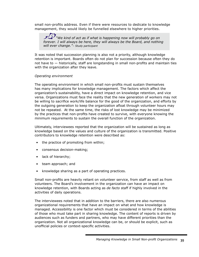small non-profits address. Even if there were resources to dedicate to knowledge management, they would likely be funnelled elsewhere to higher priorities.

*"We kind of act as if what is happening now will probably go on forever. I will always be here, they will always be the Board, and nothing will ever change."– Study participant*

It was noted that succession planning is also not a priority, although knowledge retention is important. Boards often do not plan for succession because often they do not have to — historically, staff are longstanding in small non-profits and maintain ties with the organization after they leave.

#### *Operating environment*

The operating environment in which small non-profits must sustain themselves has many implications for knowledge management. The factors which affect the organization's sustainability, have a direct impact on knowledge retention, and vice versa. Organizations must face the reality that the new generation of workers may not be willing to sacrifice work/life balance for the good of the organization, and efforts by the outgoing generation to keep the organization afloat through volunteer hours may not be repeated. At the same time, the risks of lost knowledge may be minimized by the practices that non-profits have created to survive, with everyone knowing the minimum requirements to sustain the overall function of the organization.

Ultimately, interviewees reported that the organization will be sustained as long as knowledge based on the values and culture of the organization is transmitted. Positive contributors to knowledge retention were described as:

- the practice of promoting from within;
- consensus decision-making;
- lack of hierarchy;
- team approach; and
- knowledge sharing as a part of operating practices.

Small non-profits are heavily reliant on volunteer service, from staff as well as from volunteers. The Board's involvement in the organization can have an impact on knowledge retention, with Boards acting as *de facto* staff if highly involved in the activities of daily operations.

The interviewees noted that in addition to the barriers, there are also numerous organizational requirements that have an impact on what and how knowledge is managed. Accessibility is one factor which must be considered in terms of the abilities of those who must take part in sharing knowledge. The content of reports is driven by audiences such as funders and partners, who may have different priorities than the organization. Not all organizational knowledge can be, or should be explicit, such as unofficial policies or context-specific activities.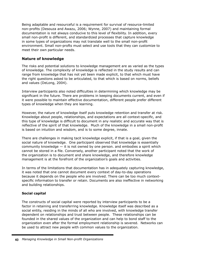Being adaptable and resourceful is a requirement for survival of resource-limited non-profits (Desouza and Awazu, 2006; Wynne, 2007) and maintaining formal documentation is not always conducive to this level of flexibility. In addition, every small non-profit is different, and standardized processes that capture knowledge in some types of organizations may not translate well to the small non-profit environment. Small non-profts must select and use tools that they can customize to meet their own particular needs.

# **Nature of knowledge**

The risks and potential solutions to knowledge management are as varied as the types of knowledge. The complexity of knowledge is reflected in the study results and can range from knowledge that has not yet been made explicit, to that which must have the right questions asked to be articulated, to that which is based on norms, beliefs and values (DeLong, 2004).

Interview participants also noted difficulties in determining which knowledge may be significant in the future. There are problems in keeping documents current, and even if it were possible to maintain effective documentation, different people prefer different types of knowledge when they are learning.

However, the nature of knowledge itself puts knowledge retention and transfer at risk. Knowledge about people, relationships, and expectations are all context-specific, and this type of knowledge is difficult to document in any realistic and accurate way that is reflective of the spirit of that knowledge. Much of the knowledge in a small non-profit is based on intuition and wisdom, and is to some degree, innate.

There are challenges in making tacit knowledge explicit, if that is a goal, given the social nature of knowledge. One participant observed that knowledge is essentially community knowledge  $-$  it is not owned by one person. and embodies a spirit which cannot be stored in a file. Conversely, another participant noted that the work of the organization is to document and share knowledge, and therefore knowledge management is at the forefront of the organization's goals and activities.

In terms of the limitations that documentation has in adequately capturing knowledge, it was noted that one cannot document every context of day-to-day operations because it depends on the people who are involved. There can be too much contextspecific information to transfer or retain. Documents are also ineffective in networking and building relationships.

# **Social capital**

The constructs of social capital were reported by interview participants to be a factor in retaining and transferring knowledge. Knowledge itself was described as a social entity, residing in the minds of all who are involved, with knowledge transfer dependent on relationships and trust between people. These relationships can be founded in the shared values of the organization and can help to bond staff to the organization even after the formal employment relationship is severed. Networks can be used to attract new people with common values to the organization.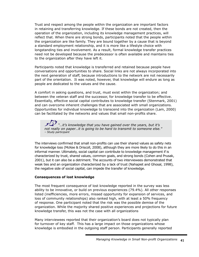Trust and respect among the people within the organization are important factors in retaining and transferring knowledge. If these bonds are not created, then the operation of the organization, including its knowledge management practices, will reflect that. When there are strong bonds, participants noted that the people within the organization are like family. They are bound together by a cause that is beyond a standard employment relationship, and it is more like a lifestyle choice with longstanding ties and involvement. As a result, formal knowledge transfer practices need not be developed because the predecessor is often available and maintains ties to the organization after they have left it.

Participants noted that knowledge is transferred and retained because people have conversations and opportunities to share. Social links are not always incorporated into the next generation of staff, because introductions to the network are not necessarily part of the orientation. It was noted, however, that knowledge will endure as long as people are dedicated to the values and the cause.

A comfort in asking questions, and trust, must exist within the organization; and between the veteran staff and the successor, for knowledge transfer to be effective. Essentially, effective social capital contributes to knowledge transfer (Stenmark, 2001) and can overcome inherent challenges that are associated with small organizations. Opportunities for individual knowledge to transcend into the organization (Lam, 2000) can be facilitated by the networks and values that small non-profits share.

 *"…it's knowledge that you have gained over the years, but it's not really on paper…it is going to be hard to transmit to someone else." – Study participant*

The interviews confirmed that small non-profits can use their shared values as safety nets for knowledge loss (McKee & Driscoll, 2008), although they are more likely to do this in an informal manner. Ultimately, social capital can contribute to knowledge management if is characterized by trust, shared values, common goals, and strong bonds (Cohen and Prusak, 2001), but it can also be a detriment. The accounts of two interviewees demonstrated that weak ties and an organization characterized by a lack of trust (Nahapiet and Ghosal, 1998), the negative side of social capital, can impede the transfer of knowledge.

#### **Consequences of lost knowledge**

The most frequent consequence of lost knowledge reported in the survey was less ability to be innovative, or build on previous experiences (79.4%). All other responses listed (inefficiencies, more errors, missed opportunity for expansion of services, and loss of community relationships) also ranked high, with at least a 50% frequency of response. One participant noted that the risk was the possible demise of the organization. While the majority shared positive experiences and projections for future knowledge transfer, this was not the case with all organizations

Many interviewees reported that their organization's board does not typically plan for turnover of key staff. This has a large impact on those organizations whose knowledge is embodied in the outgoing staff person. Participants generally reported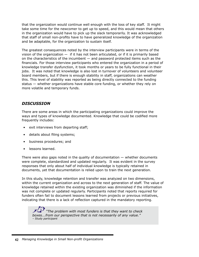that the organization would continue well enough with the loss of key staff. It might take some time for the newcomer to get up to speed, and this would mean that others in the organization would have to pick up the slack temporarily. It was acknowledged that staff of small non-profits have to have generalized knowledge of the organization and be adaptable, for the organization to sustain itself.

The greatest consequences noted by the interview participants were in terms of the vision of the organization  $-$  if it has not been articulated, or if it is primarily based on the characteristics of the incumbent — and password protected items such as the financials. For those interview participants who entered the organization in a period of knowledge transfer dysfunction, it took months or years to be fully functional in their jobs. It was noted that knowledge is also lost in turnover of volunteers and volunteer board members, but if there is enough stability in staff, organizations can weather this. This level of stability was reported as being directly connected to the funding status — whether organizations have stable core funding, or whether they rely on more volatile and temporary funds.

# *DISCUSSION*

There are some areas in which the participating organizations could improve the ways and types of knowledge documented. Knowledge that could be codified more frequently includes:

- exit interviews from departing staff;
- details about filing systems;
- business procedures; and
- lessons learned.

There were also gaps noted in the quality of documentation  $-$  whether documents were complete, standardized and updated regularly. It was evident in the survey responses that only about half of individual knowledge is typically retained in documents, yet that documentation is relied upon to train the next generation.

In this study, knowledge retention and transfer was analyzed on two dimensions, within the current organization and across to the next generation of staff. The value of knowledge retained within the existing organization was diminished if the information was not complete or updated regularly. Participants noted that reports required for funders often fail to document lessons learned from projects or previous initiatives, indicating that there is a lack of reflection captured in the mandatory reporting.

 *"The problem with most funders is that they want to check boxes...from our perspective that is not necessarily of any value." – Study participant*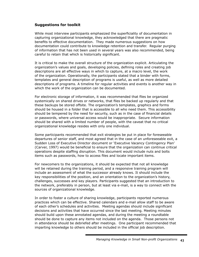# **Suggestions for toolkit**

While most interview participants emphasized the superficiality of documentation in capturing organizational knowledge, they acknowledged that there are pragmatic benefits to effective documentation. They made numerous suggestions on how documentation could contribute to knowledge retention and transfer. Regular purging of information that has not been used in several years was also recommended, being careful to retain that which is historically significant.

It is critical to make the overall structure of the organization explicit. Articulating the organization's values and goals, developing policies, defining roles and creating job descriptions are all effective ways in which to capture, at a macro level, the work of the organization. Operationally, the participants stated that a binder with forms, templates and general description of programs is useful, as well as more detailed descriptions of programs. A timeline for regular activities and events is another way in which the work of the organization can be documented.

For electronic storage of information, it was recommended that files be organized systemically on shared drives or networks, that files be backed up regularly and that these backups be stored offsite. The organization's templates, graphics and forms should be housed in a folder that is accessible to all who need them. This accessibility should be tempered by the need for security, such as in the case of financial details or passwords, where universal access would be inappropriate. Secure information should be shared with a limited number of people, with the caveat that no critical organizational knowledge resides with only one individual.

Some participants recommended that exit strategies be put in place for foreseeable departures of senior staff, and most agreed that in the case of an unforeseeable exit, a Sudden Loss of Executive Director document or 'Executive Vacancy Contingency Plan' (Carver, 1997) would be beneficial to ensure that the organization can continue critical operations despite staffing disruption. This document would include nuts and bolts items such as passwords, how to access files and locate important items.

For newcomers to the organizations, it should be expected that not all knowledge will be retained during the training period, and a responsive training program will include an assessment of what the successor already knows. It should include the key responsibilities of the position, and an orientation to the organization's history, challenges, successes and key players. Participants suggested that an introduction to the network, preferably in person, but at least via e-mail, is a way to connect with the sources of organizational knowledge.

In order to foster a culture of sharing knowledge, participants reported numerous practices which can be effective. Shared calendars and e-mail allow staff to be aware of each other's schedules and activities. Meeting agendas should include significant decisions and activities that have occurred since the last meeting. Meeting minutes should build upon these annotated agendas, and during the meeting a roundtable should be done to capture any items not included on the agenda. Those persons not in attendance should be debriefed after meetings. One participant recommended that imparting knowledge to others should be included in the official job description.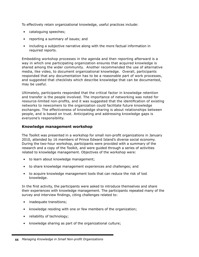To effectively retain organizational knowledge, useful practices include:

- cataloguing speeches;
- reporting a summary of issues; and
- including a subjective narrative along with the more factual information in required reports.

Embedding workshop processes in the agenda and then reporting afterward is a way in which one participating organization ensures that acquired knowledge is shared among the wider community. Another recommended the use of alternative media, like video, to document organizational knowledge. Overall, participants responded that any documentation has to be a reasonable part of work processes, and suggested that checklists which describe knowledge that can be documented, may be useful.

Ultimately, participants responded that the critical factor in knowledge retention and transfer is the people involved. The importance of networking was noted for resource-limited non-profits, and it was suggested that the identification of existing networks to newcomers to the organization could facilitate future knowledge exchanges. The effectiveness of knowledge sharing is about relationships between people, and is based on trust. Anticipating and addressing knowledge gaps is everyone's responsibility.

#### **Knowledge management workshop**

The Toolkit was presented in a workshop for small non-profit organizations in January 2010, attended by 16 members of Prince Edward Island's diverse social economy. During the two-hour workshop, participants were provided with a summary of the research and a copy of the Toolkit, and were guided through a series of activities related to knowledge management. Objectives of the workshop were:

- to learn about knowledge management;
- to share knowledge management experiences and challenges; and
- to acquire knowledge management tools that can reduce the risk of lost knowledge.

In the first activity, the participants were asked to introduce themselves and share their experiences with knowledge management. The participants repeated many of the survey and interview findings, citing challenges related to:

- inadequate transitions;
- knowledge residing with one or few members of the organization;
- reliability of technology;
- knowledge sharing as part of the organizational culture;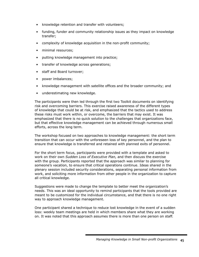- knowledge retention and transfer with volunteers;
- funding, funder and community relationship issues as they impact on knowledge transfer;
- complexity of knowledge acquisition in the non-profit community;
- minimal resources;
- putting knowledge management into practice;
- transfer of knowledge across generations;
- staff and Board turnover;
- power imbalances;
- knowledge management with satellite offices and the broader community; and
- underestimating new knowledge.

The participants were then led through the first two Toolkit documents on identifying risk and overcoming barriers. This exercise raised awareness of the different types of knowledge that could be at risk, and emphasized that the tactics used to address these risks must work within, or overcome, the barriers that may exist. It was emphasized that there is no quick solution to the challenges that organizations face, but that effective knowledge management can be achieved through numerous small efforts, across the long term.

The workshop focused on two approaches to knowledge management: the short term transition that can occur with the unforeseen loss of key personnel, and the plan to ensure that knowledge is transferred and retained with planned exits of personnel.

For the short term focus, participants were provided with a template and asked to work on their own *Sudden Loss of Executive Plan,* and then discuss the exercise with the group. Participants reported that the approach was similar to planning for someone's vacation, to ensure that critical operations continue. Ideas shared in the plenary session included security considerations, separating personal information from work, and soliciting more information from other people in the organization to capture all critical knowledge.

Suggestions were made to change the template to better meet the organization's needs. This was an ideal opportunity to remind participants that the tools provided are meant to be customized for the individual circumstance, and that there is no one right way to approach knowledge management.

One participant shared a technique to reduce lost knowledge in the event of a sudden loss: weekly team meetings are held in which members share what they are working on. It was noted that this approach assumes there is more than one person on staff.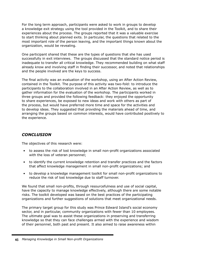For the long term approach, participants were asked to work in groups to develop a knowledge exit strategy using the tool provided in the Toolkit, and to share their experiences about the process. The groups reported that it was a valuable exercise to start thinking about planned exits. In particular, the questions that related to the most important role of the person leaving, and the important things known about the organization, would be revealing.

One participant shared that these are the types of questions that she has used successfully in exit interviews. The groups discussed that the standard notice period is inadequate to transfer all critical knowledge. They recommended building on what staff already know and involving staff in finding their successor, and noted that relationships and the people involved are the keys to success.

The final activity was an evaluation of the workshop, using an After Action Review, contained in the Toolkit. The purpose of this activity was two-fold: to introduce the participants to the collaboration involved in an After Action Review, as well as to gather information for the evaluation of the workshop. The participants worked in three groups and provided the following feedback: they enjoyed the opportunity to share experiences, be exposed to new ideas and work with others as part of the process, but would have preferred more time and space for the activities and to develop ideas. They suggested that providing the materials ahead of time, and arranging the groups based on common interests, would have contributed positively to the experience.

# *CONCLUSION*

The objectives of this research were:

- to assess the risk of lost knowledge in small non-profit organizations associated with the loss of veteran personnel;
- to identify the current knowledge retention and transfer practices and the factors that affect knowledge management in small non-profit organizations; and
- to develop a knowledge management toolkit for small non-profit organizations to reduce the risk of lost knowledge due to staff turnover.

We found that small non-profits, through resourcefulness and use of social capital, have the capacity to manage knowledge effectively, although there are some notable risks. The toolkit developed was based on the best practices of the participating organizations and further suggestions of solutions that meet organizational needs.

The primary target group for this study was Prince Edward Island's social economy sector, and in particular, community organizations with fewer than 10 employees. The ultimate goal was to assist these organizations in preserving and transferring knowledge so that they can face challenges armed with the experience and wisdom of their personnel, both past and present. It also aimed to raise awareness within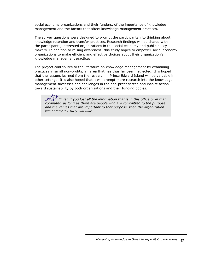social economy organizations and their funders, of the importance of knowledge management and the factors that affect knowledge management practices.

The survey questions were designed to prompt the participants into thinking about knowledge retention and transfer practices. Research findings will be shared with the participants, interested organizations in the social economy and public policy makers. In addition to raising awareness, this study hopes to empower social economy organizations to make efficient and effective choices about their organization's knowledge management practices.

The project contributes to the literature on knowledge management by examining practices in small non-profits, an area that has thus far been neglected. It is hoped that the lessons learned from the research in Prince Edward Island will be valuable in other settings. It is also hoped that it will prompt more research into the knowledge management successes and challenges in the non-profit sector, and inspire action toward sustainability by both organizations and their funding bodies.

*"Even if you lost all the information that is in this office or in that computer, as long as there are people who are committed to the purpose and the values that are important to that purpose, then the organization will endure." – Study participant*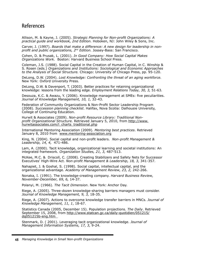# References

Allison, M. & Kayne, J. (2005). *Strategic Planning for Non-profit Organizations: A practical guide and workbook, 2nd Edition.* Hoboken, NJ: John Wiley & Sons, Inc.

Carver, J. (1997). *Boards that make a difference: A new design for leadership in nonprofit and public organizations, 2nd Edition.* Jossey-Bass: San Francisco.

Cohen, D. & Prusak, L. (2001). *In Good Company: How Social Capital Makes Organizations Work.* Boston: Harvard Business School Press.

Coleman, J.S. (1988). Social Capital in the Creation of Human Capital, in C. Winship & S. Rosen (eds.) *Organizations and Institutions: Sociological and Economic Approaches to the Analysis of Social Structure.* Chicago: University of Chicago Press, pp. 95-120.

DeLong, D.W. (2004). *Lost Knowledge: Confronting the threat of an aging workforce.* New York: Oxford University Press.

DeLong, D.W. & Davenport, T. (2003). Better practices for retaining organizational knowledge: lessons from the leading edge. *Employment Relations Today, 30, 3,* 51-63.

Desouza, K.C. & Awazu, Y. (2006). Knowledge management at SMEs: five peculiarities. *Journal of Knowledge Management, 10, 1,* 32-43.

Federation of Community Organizations & Non-Profit Sector Leadership Program (2008). *Succession planning checklist*. Halifax, Nova Scotia: Dalhousie University, College of Continuing Education.

Hurwit & Associates (2009). *Non-profit Resource Library: Traditional Nonprofit Organizational Structure.* Retrieved January 5, 2010, from http://www. hurwitassociates.com/l\_charts\_traditional.php

International Mentoring Association (2009). *Mentoring best practices*. Retrieved January 8, 2010 from www.mentoring-association.org

King, N. (2004). Social capital and non-profit leaders. *Non-profit Management & Leadership, 14, 4,* 471-486.

Lam, A. (2000). Tacit knowledge, organizational learning and societal institutions: An integrated framework*. Organization Studies, 21, 3,* 487-513.

McKee, M.C. & Driscoll, C. (2008). Creating Stabilizers and Safety Nets for Successor Executives' High-Wire Act. *Non-profit Management & Leadership, 18, 3,* 341-357.

Nahapiet, J. & Goshal, S. (1998). Social capital, intellectual capital, and the organizational advantage. *Academy of Management Review, 23, 2,* 242-266.

Nonaka, I. (1991). The knowledge-creating company. *Harvard Business Review, November-December, 69, 6,* 14-37.

Polanyi, M. (1966). *The Tacit Dimension*. New York: Anchor Day.

Riege, A. (2005). Three-dozen knowledge-sharing barriers managers must consider. *Journal of Knowledge Management, 9, 3,* 18-35.

Riege, A. (2007). Actions to overcome knowledge transfer barriers in MNCs. *Journal of Knowledge Management, 11, 1*, 18-67.

Statistics Canada (2005, December 15). Population projections. *The Daily*. Retrieved September 15, 2008, from http://www.statcan.gc.ca/daily-guotidien/051215/ dq051215b-eng.htm

Stenmark, D. ( 2001). Leveraging tacit organizational knowledge. *Journal of Management Information Systems, 17, 3,* 9-24.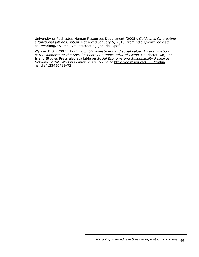University of Rochester, Human Resources Department (2005). *Guidelines for creating a functional job description.* Retrieved January 5, 2010, from http://www.rochester. edu/working/hr/employment/creating\_job\_desc.pdf.

Wynne, B.G. (2007). *Bridging public investment and social value: An examination of the supports for the Social Economy on Prince Edward Island.* Charlottetown, PE: Island Studies Press also available on *Social Economy and Sustainability Research Network Portal: Working Paper Series*, online at http://dc.msvu.ca:8080/xmlui/ handle/123456789/72